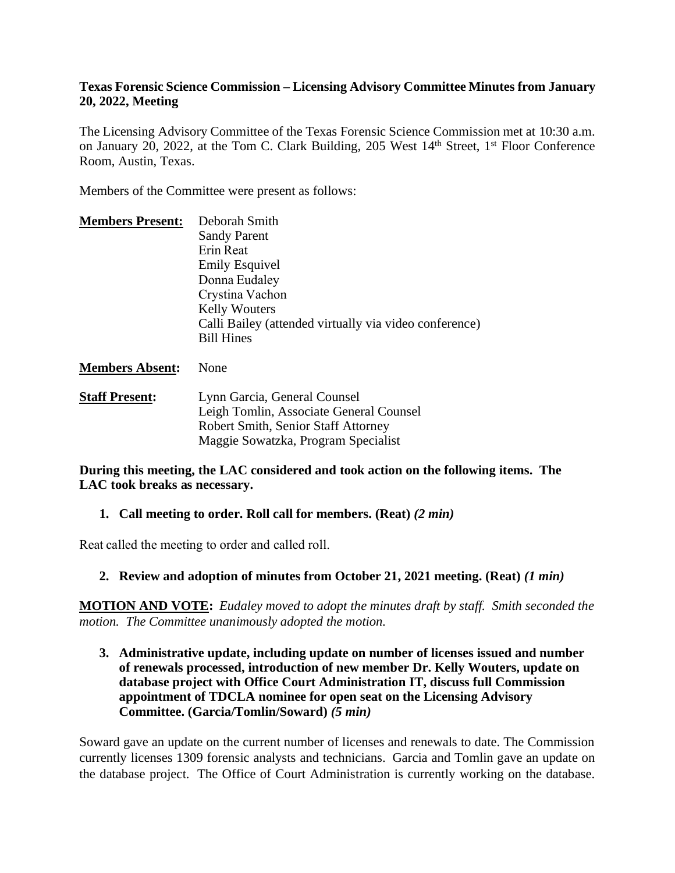#### **Texas Forensic Science Commission – Licensing Advisory Committee Minutes from January 20, 2022, Meeting**

The Licensing Advisory Committee of the Texas Forensic Science Commission met at 10:30 a.m. on January 20, 2022, at the Tom C. Clark Building, 205 West 14<sup>th</sup> Street, 1<sup>st</sup> Floor Conference Room, Austin, Texas.

Members of the Committee were present as follows:

| <b>Members Present:</b> | Deborah Smith                                          |
|-------------------------|--------------------------------------------------------|
|                         | <b>Sandy Parent</b>                                    |
|                         | Erin Reat                                              |
|                         | <b>Emily Esquivel</b>                                  |
|                         | Donna Eudaley                                          |
|                         | Crystina Vachon                                        |
|                         | <b>Kelly Wouters</b>                                   |
|                         | Calli Bailey (attended virtually via video conference) |
|                         | <b>Bill Hines</b>                                      |
|                         |                                                        |

#### **Members Absent:** None

**Staff Present:** Lynn Garcia, General Counsel Leigh Tomlin, Associate General Counsel Robert Smith, Senior Staff Attorney Maggie Sowatzka, Program Specialist

#### **During this meeting, the LAC considered and took action on the following items. The LAC took breaks as necessary.**

# **1. Call meeting to order. Roll call for members. (Reat)** *(2 min)*

Reat called the meeting to order and called roll.

# **2. Review and adoption of minutes from October 21, 2021 meeting. (Reat)** *(1 min)*

**MOTION AND VOTE:** *Eudaley moved to adopt the minutes draft by staff. Smith seconded the motion. The Committee unanimously adopted the motion.*

**3. Administrative update, including update on number of licenses issued and number of renewals processed, introduction of new member Dr. Kelly Wouters, update on database project with Office Court Administration IT, discuss full Commission appointment of TDCLA nominee for open seat on the Licensing Advisory Committee. (Garcia/Tomlin/Soward)** *(5 min)* 

Soward gave an update on the current number of licenses and renewals to date. The Commission currently licenses 1309 forensic analysts and technicians. Garcia and Tomlin gave an update on the database project. The Office of Court Administration is currently working on the database.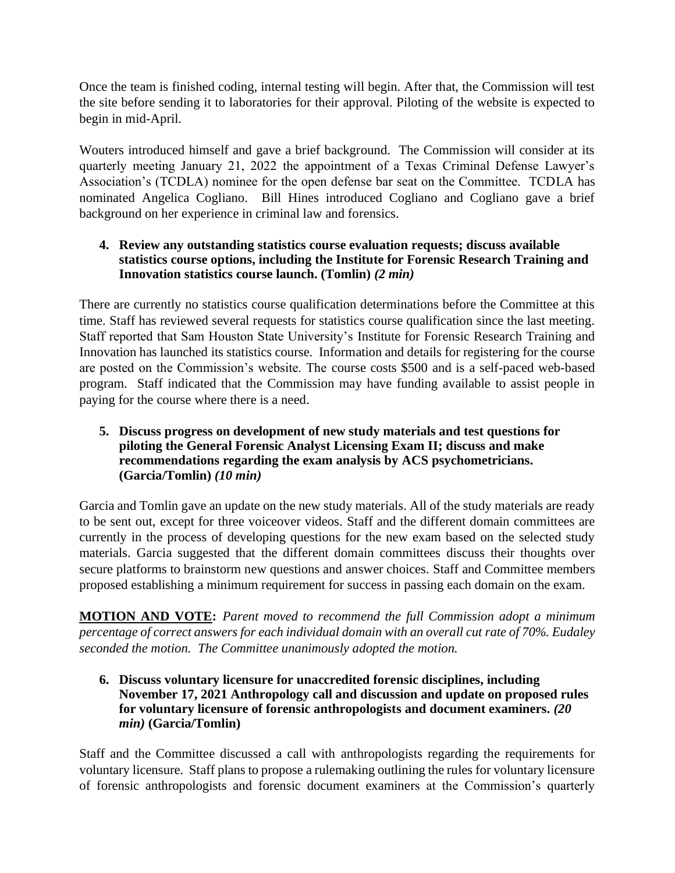Once the team is finished coding, internal testing will begin. After that, the Commission will test the site before sending it to laboratories for their approval. Piloting of the website is expected to begin in mid-April.

Wouters introduced himself and gave a brief background. The Commission will consider at its quarterly meeting January 21, 2022 the appointment of a Texas Criminal Defense Lawyer's Association's (TCDLA) nominee for the open defense bar seat on the Committee. TCDLA has nominated Angelica Cogliano. Bill Hines introduced Cogliano and Cogliano gave a brief background on her experience in criminal law and forensics.

# **4. Review any outstanding statistics course evaluation requests; discuss available statistics course options, including the Institute for Forensic Research Training and Innovation statistics course launch. (Tomlin)** *(2 min)*

There are currently no statistics course qualification determinations before the Committee at this time. Staff has reviewed several requests for statistics course qualification since the last meeting. Staff reported that Sam Houston State University's Institute for Forensic Research Training and Innovation has launched its statistics course. Information and details for registering for the course are posted on the Commission's website. The course costs \$500 and is a self-paced web-based program. Staff indicated that the Commission may have funding available to assist people in paying for the course where there is a need.

# **5. Discuss progress on development of new study materials and test questions for piloting the General Forensic Analyst Licensing Exam II; discuss and make recommendations regarding the exam analysis by ACS psychometricians. (Garcia/Tomlin)** *(10 min)*

Garcia and Tomlin gave an update on the new study materials. All of the study materials are ready to be sent out, except for three voiceover videos. Staff and the different domain committees are currently in the process of developing questions for the new exam based on the selected study materials. Garcia suggested that the different domain committees discuss their thoughts over secure platforms to brainstorm new questions and answer choices. Staff and Committee members proposed establishing a minimum requirement for success in passing each domain on the exam.

**MOTION AND VOTE:** *Parent moved to recommend the full Commission adopt a minimum percentage of correct answers for each individual domain with an overall cut rate of 70%. Eudaley seconded the motion. The Committee unanimously adopted the motion.*

### **6. Discuss voluntary licensure for unaccredited forensic disciplines, including November 17, 2021 Anthropology call and discussion and update on proposed rules for voluntary licensure of forensic anthropologists and document examiners.** *(20 min)* **(Garcia/Tomlin)**

Staff and the Committee discussed a call with anthropologists regarding the requirements for voluntary licensure. Staff plans to propose a rulemaking outlining the rules for voluntary licensure of forensic anthropologists and forensic document examiners at the Commission's quarterly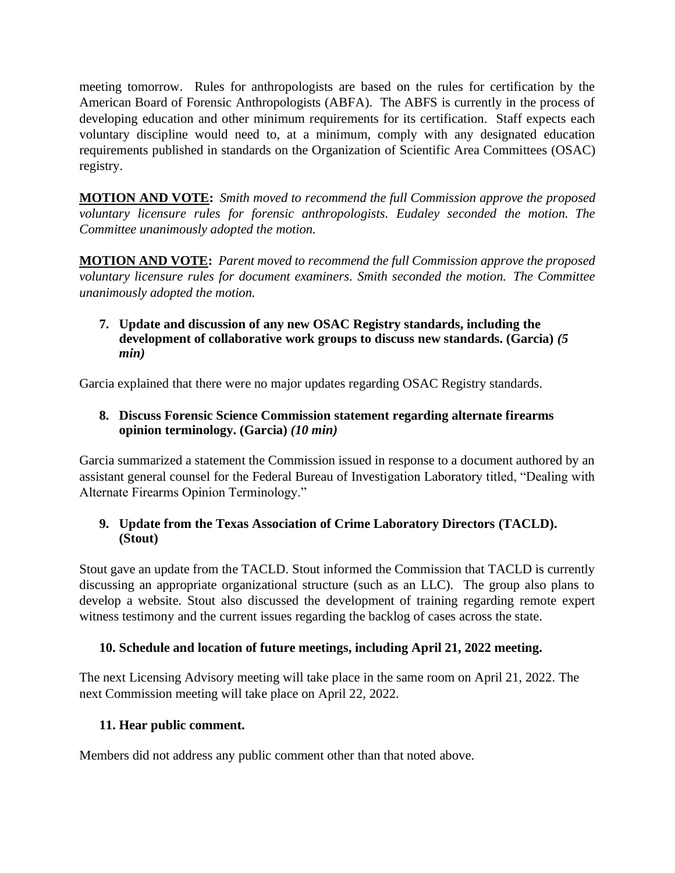meeting tomorrow. Rules for anthropologists are based on the rules for certification by the American Board of Forensic Anthropologists (ABFA). The ABFS is currently in the process of developing education and other minimum requirements for its certification. Staff expects each voluntary discipline would need to, at a minimum, comply with any designated education requirements published in standards on the Organization of Scientific Area Committees (OSAC) registry.

**MOTION AND VOTE:** *Smith moved to recommend the full Commission approve the proposed voluntary licensure rules for forensic anthropologists. Eudaley seconded the motion. The Committee unanimously adopted the motion.*

**MOTION AND VOTE:** *Parent moved to recommend the full Commission approve the proposed voluntary licensure rules for document examiners. Smith seconded the motion. The Committee unanimously adopted the motion.*

# **7. Update and discussion of any new OSAC Registry standards, including the development of collaborative work groups to discuss new standards. (Garcia)** *(5 min)*

Garcia explained that there were no major updates regarding OSAC Registry standards.

# **8. Discuss Forensic Science Commission statement regarding alternate firearms opinion terminology. (Garcia)** *(10 min)*

Garcia summarized a statement the Commission issued in response to a document authored by an assistant general counsel for the Federal Bureau of Investigation Laboratory titled, "Dealing with Alternate Firearms Opinion Terminology."

# **9. Update from the Texas Association of Crime Laboratory Directors (TACLD). (Stout)**

Stout gave an update from the TACLD. Stout informed the Commission that TACLD is currently discussing an appropriate organizational structure (such as an LLC). The group also plans to develop a website. Stout also discussed the development of training regarding remote expert witness testimony and the current issues regarding the backlog of cases across the state.

# **10. Schedule and location of future meetings, including April 21, 2022 meeting.**

The next Licensing Advisory meeting will take place in the same room on April 21, 2022. The next Commission meeting will take place on April 22, 2022.

# **11. Hear public comment.**

Members did not address any public comment other than that noted above.